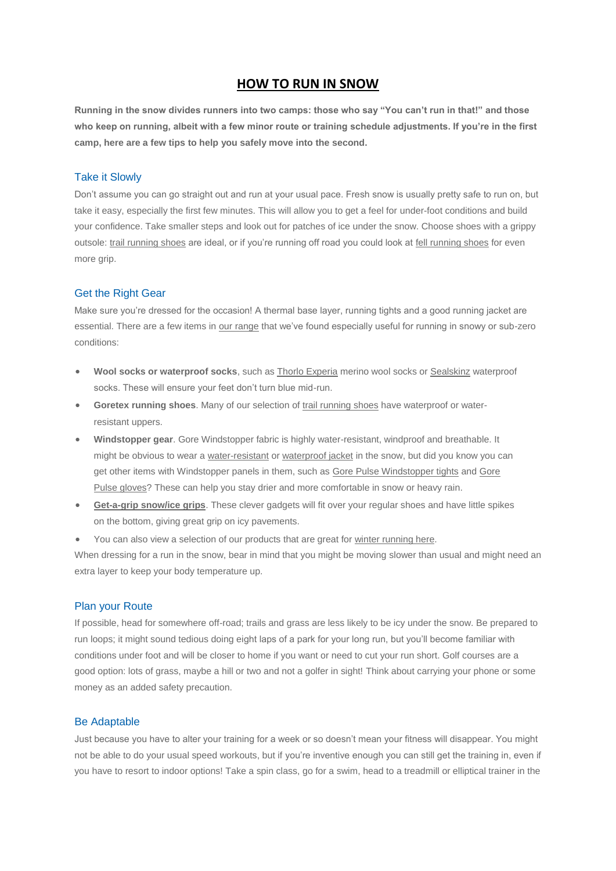## **HOW TO RUN IN SNOW**

**Running in the snow divides runners into two camps: those who say "You can't run in that!" and those who keep on running, albeit with a few minor route or training schedule adjustments. If you're in the first camp, here are a few tips to help you safely move into the second.**

#### Take it Slowly

Don't assume you can go straight out and run at your usual pace. Fresh snow is usually pretty safe to run on, but take it easy, especially the first few minutes. This will allow you to get a feel for under-foot conditions and build your confidence. Take smaller steps and look out for patches of ice under the snow. Choose shoes with a grippy outsole: [trail running shoes](http://www.runandbecome.com/Shop-Online/Shoes/Trail) are ideal, or if you're running off road you could look a[t fell running shoes](http://www.runandbecome.com/Shop-Online/Shoes/Fell) for even more grip.

### Get the Right Gear

Make sure you're dressed for the occasion! A thermal base layer, running tights and a good running jacket are essential. There are a few items i[n our range](http://www.runandbecome.com/Shop-Online) that we've found especially useful for running in snowy or sub-zero conditions:

- **Wool socks or waterproof socks**, such as Thorlo [Experia](http://www.runandbecome.com/Shop-Online/Accessories/Socks/Road/Thorlo-Experia) merino wool socks or [Sealskinz](http://www.runandbecome.com/Shop-Online/Accessories/Socks/Trail/Sealskinz-Ultralight-Sock) waterproof socks. These will ensure your feet don't turn blue mid-run.
- **Goretex running shoes**. Many of our selection of [trail running shoes](http://www.runandbecome.com/Shoes/Trail) have waterproof or waterresistant uppers.
- **Windstopper gear**. Gore Windstopper fabric is highly water-resistant, windproof and breathable. It might be obvious to wear a [water-resistant](http://www.runandbecome.com/Clothing/Jackets/Water-Resistant-Jackets) or [waterproof jacket](http://www.runandbecome.com/Clothing/Jackets/Waterproof-Jackets) in the snow, but did you know you can get other items with Windstopper panels in them, such as [Gore Pulse Windstopper tights](http://www.runandbecome.com/Shop-Online/Mens-Running-Clothing/Legwear/Tights/Gore-Pulse-SO-Tights-W2) and [Gore](http://www.runandbecome.com/Shop-Online/Accessories/Hats-and-Gloves/Gloves/Gore-Challenger-SO-Gloves)  [Pulse gloves?](http://www.runandbecome.com/Shop-Online/Accessories/Hats-and-Gloves/Gloves/Gore-Challenger-SO-Gloves) These can help you stay drier and more comfortable in snow or heavy rain.
- **[Get-a-grip snow/ice grips](http://www.runandbecome.com/Shop-Online/Accessories/Extras/miscellaneous/Get-a-Grip-L-XL)**. These clever gadgets will fit over your regular shoes and have little spikes on the bottom, giving great grip on icy pavements.
- You can also view a selection of our products that are great for [winter running here.](http://www.runandbecome.com/Shop-Online/Winter-Running-Gear)

When dressing for a run in the snow, bear in mind that you might be moving slower than usual and might need an extra layer to keep your body temperature up.

#### Plan your Route

If possible, head for somewhere off-road; trails and grass are less likely to be icy under the snow. Be prepared to run loops; it might sound tedious doing eight laps of a park for your long run, but you'll become familiar with conditions under foot and will be closer to home if you want or need to cut your run short. Golf courses are a good option: lots of grass, maybe a hill or two and not a golfer in sight! Think about carrying your phone or some money as an added safety precaution.

#### Be Adaptable

Just because you have to alter your training for a week or so doesn't mean your fitness will disappear. You might not be able to do your usual speed workouts, but if you're inventive enough you can still get the training in, even if you have to resort to indoor options! Take a spin class, go for a swim, head to a treadmill or elliptical trainer in the